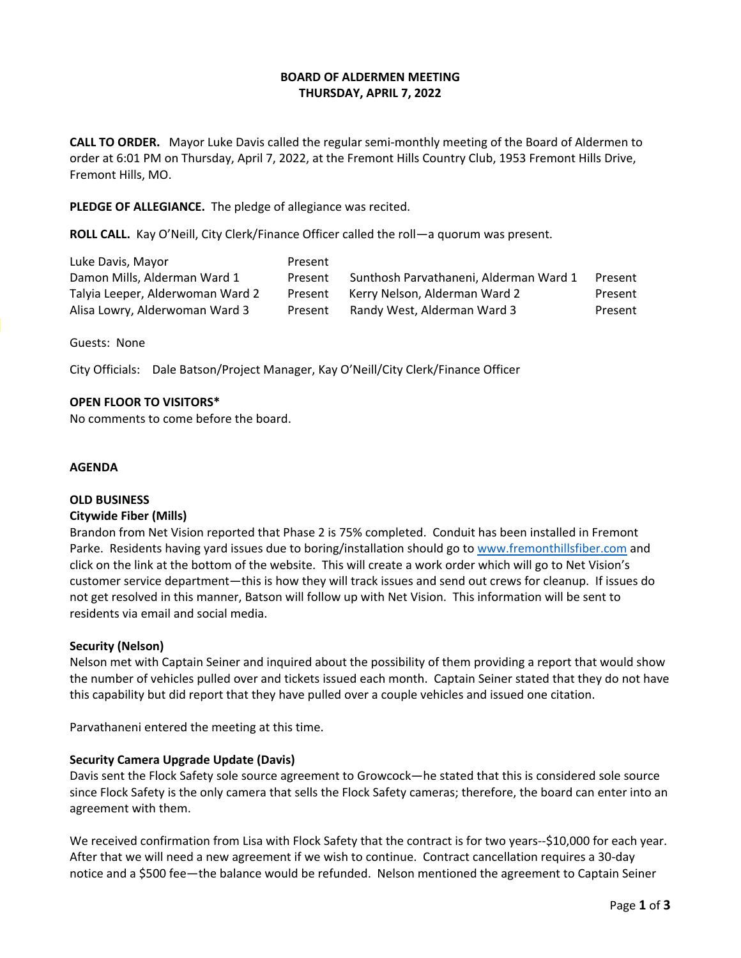## **BOARD OF ALDERMEN MEETING THURSDAY, APRIL 7, 2022**

**CALL TO ORDER.** Mayor Luke Davis called the regular semi-monthly meeting of the Board of Aldermen to order at 6:01 PM on Thursday, April 7, 2022, at the Fremont Hills Country Club, 1953 Fremont Hills Drive, Fremont Hills, MO.

#### **PLEDGE OF ALLEGIANCE.** The pledge of allegiance was recited.

**ROLL CALL.** Kay O'Neill, City Clerk/Finance Officer called the roll—a quorum was present.

| Luke Davis, Mayor                | Present |                                        |         |
|----------------------------------|---------|----------------------------------------|---------|
| Damon Mills, Alderman Ward 1     | Present | Sunthosh Parvathaneni, Alderman Ward 1 | Present |
| Talyia Leeper, Alderwoman Ward 2 | Present | Kerry Nelson, Alderman Ward 2          | Present |
| Alisa Lowry, Alderwoman Ward 3   | Present | Randy West, Alderman Ward 3            | Present |

Guests: None

City Officials: Dale Batson/Project Manager, Kay O'Neill/City Clerk/Finance Officer

## **OPEN FLOOR TO VISITORS\***

No comments to come before the board.

#### **AGENDA**

#### **OLD BUSINESS**

#### **Citywide Fiber (Mills)**

Brandon from Net Vision reported that Phase 2 is 75% completed. Conduit has been installed in Fremont Parke. Residents having yard issues due to boring/installation should go to www.fremonthillsfiber.com and click on the link at the bottom of the website. This will create a work order which will go to Net Vision's customer service department—this is how they will track issues and send out crews for cleanup. If issues do not get resolved in this manner, Batson will follow up with Net Vision. This information will be sent to residents via email and social media.

#### **Security (Nelson)**

Nelson met with Captain Seiner and inquired about the possibility of them providing a report that would show the number of vehicles pulled over and tickets issued each month. Captain Seiner stated that they do not have this capability but did report that they have pulled over a couple vehicles and issued one citation.

Parvathaneni entered the meeting at this time.

#### **Security Camera Upgrade Update (Davis)**

Davis sent the Flock Safety sole source agreement to Growcock—he stated that this is considered sole source since Flock Safety is the only camera that sells the Flock Safety cameras; therefore, the board can enter into an agreement with them.

We received confirmation from Lisa with Flock Safety that the contract is for two years--\$10,000 for each year. After that we will need a new agreement if we wish to continue. Contract cancellation requires a 30-day notice and a \$500 fee—the balance would be refunded. Nelson mentioned the agreement to Captain Seiner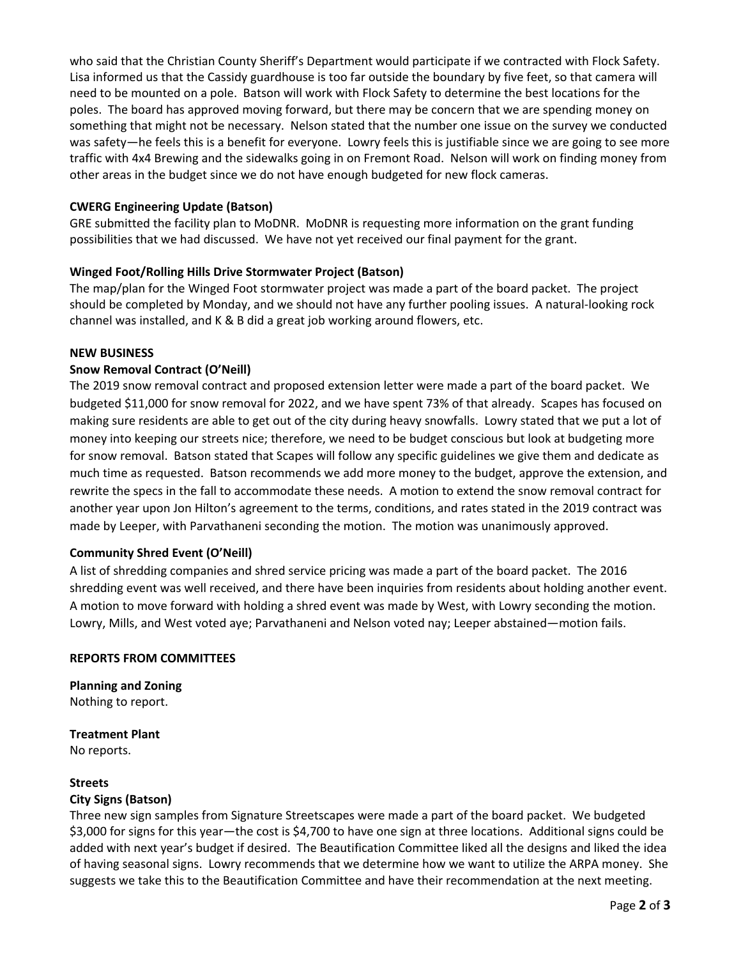who said that the Christian County Sheriff's Department would participate if we contracted with Flock Safety. Lisa informed us that the Cassidy guardhouse is too far outside the boundary by five feet, so that camera will need to be mounted on a pole. Batson will work with Flock Safety to determine the best locations for the poles. The board has approved moving forward, but there may be concern that we are spending money on something that might not be necessary. Nelson stated that the number one issue on the survey we conducted was safety—he feels this is a benefit for everyone. Lowry feels this is justifiable since we are going to see more traffic with 4x4 Brewing and the sidewalks going in on Fremont Road. Nelson will work on finding money from other areas in the budget since we do not have enough budgeted for new flock cameras.

## **CWERG Engineering Update (Batson)**

GRE submitted the facility plan to MoDNR. MoDNR is requesting more information on the grant funding possibilities that we had discussed. We have not yet received our final payment for the grant.

## **Winged Foot/Rolling Hills Drive Stormwater Project (Batson)**

The map/plan for the Winged Foot stormwater project was made a part of the board packet. The project should be completed by Monday, and we should not have any further pooling issues. A natural-looking rock channel was installed, and K & B did a great job working around flowers, etc.

## **NEW BUSINESS**

## **Snow Removal Contract (O'Neill)**

The 2019 snow removal contract and proposed extension letter were made a part of the board packet. We budgeted \$11,000 for snow removal for 2022, and we have spent 73% of that already. Scapes has focused on making sure residents are able to get out of the city during heavy snowfalls. Lowry stated that we put a lot of money into keeping our streets nice; therefore, we need to be budget conscious but look at budgeting more for snow removal. Batson stated that Scapes will follow any specific guidelines we give them and dedicate as much time as requested. Batson recommends we add more money to the budget, approve the extension, and rewrite the specs in the fall to accommodate these needs. A motion to extend the snow removal contract for another year upon Jon Hilton's agreement to the terms, conditions, and rates stated in the 2019 contract was made by Leeper, with Parvathaneni seconding the motion. The motion was unanimously approved.

## **Community Shred Event (O'Neill)**

A list of shredding companies and shred service pricing was made a part of the board packet. The 2016 shredding event was well received, and there have been inquiries from residents about holding another event. A motion to move forward with holding a shred event was made by West, with Lowry seconding the motion. Lowry, Mills, and West voted aye; Parvathaneni and Nelson voted nay; Leeper abstained—motion fails.

#### **REPORTS FROM COMMITTEES**

**Planning and Zoning** Nothing to report.

**Treatment Plant** No reports.

#### **Streets**

## **City Signs (Batson)**

Three new sign samples from Signature Streetscapes were made a part of the board packet. We budgeted \$3,000 for signs for this year—the cost is \$4,700 to have one sign at three locations. Additional signs could be added with next year's budget if desired. The Beautification Committee liked all the designs and liked the idea of having seasonal signs. Lowry recommends that we determine how we want to utilize the ARPA money. She suggests we take this to the Beautification Committee and have their recommendation at the next meeting.